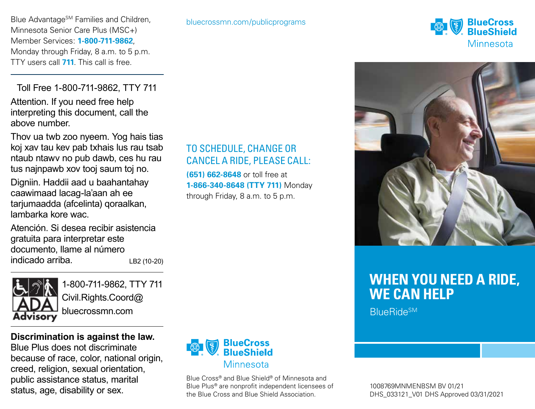Blue Advantage<sup>SM</sup> Families and Children, Minnesota Senior Care Plus (MSC+) Member Services: **1-800-711-9862**, Monday through Friday, 8 a.m. to 5 p.m. TTY users call **711**. This call is free.

Toll Free 1-800-711-9862, TTY 711 Attention. If you need free help interpreting this document, call the above number.

Thov ua twb zoo nyeem. Yog hais tias koj xav tau kev pab txhais lus rau tsab ntaub ntawv no pub dawb, ces hu rau tus najnpawb xov tooj saum toj no.

Digniin. Haddii aad u baahantahay caawimaad lacag-la'aan ah ee tarjumaadda (afcelinta) qoraalkan, lambarka kore wac.

Atención. Si desea recibir asistencia gratuita para interpretar este documento, llame al número indicado arriba. LB2 (10-20)



1-800-711-9862, TTY 711 Civil.Rights.Coord@ bluecrossmn.com

**Discrimination is against the law.** Blue Plus does not discriminate because of race, color, national origin, creed, religion, sexual orientation, public assistance status, marital status, age, disability or sex.



## TO SCHEDULE, CHANGE OR CANCEL A RIDE, PLEASE CALL:

**(651) 662-8648** or toll free at **1-866-340-8648 (TTY 711)** Monday through Friday, 8 a.m. to 5 p.m.



Blue Cross® and Blue Shield® of Minnesota and Blue Plus® are nonprofit independent licensees of the Blue Cross and Blue Shield Association.





# **WHEN YOU NEED A RIDE, WE CAN HELP**

**BlueRideSM**